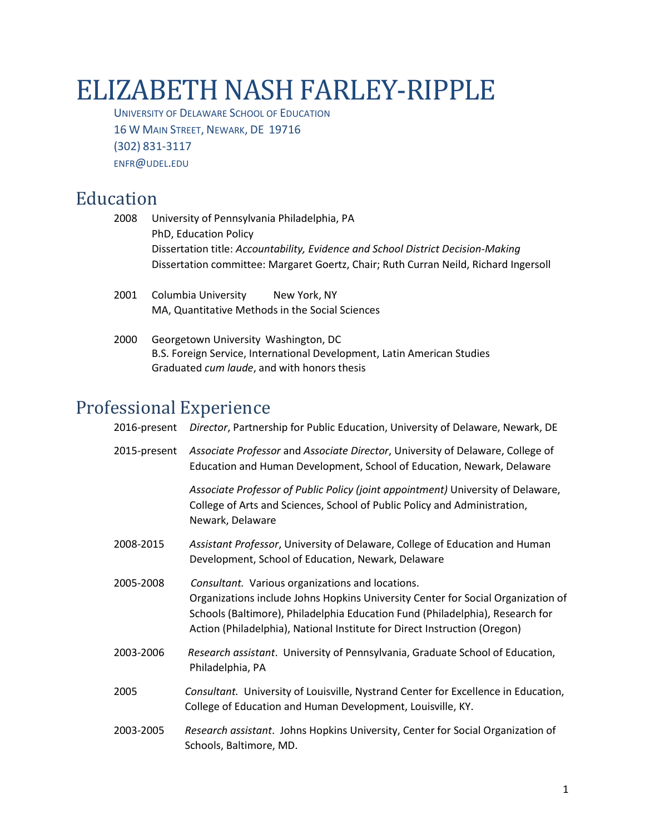# ELIZABETH NASH FARLEY-RIPPLE

UNIVERSITY OF DELAWARE SCHOOL OF EDUCATION 16 W MAIN STREET, NEWARK, DE 19716 (302) 831-3117 ENFR@UDEL.EDU

## Education

| 2008 | University of Pennsylvania Philadelphia, PA                                          |
|------|--------------------------------------------------------------------------------------|
|      | PhD, Education Policy                                                                |
|      | Dissertation title: Accountability, Evidence and School District Decision-Making     |
|      | Dissertation committee: Margaret Goertz, Chair; Ruth Curran Neild, Richard Ingersoll |
|      |                                                                                      |

- 2001 Columbia University New York, NY MA, Quantitative Methods in the Social Sciences
- 2000 Georgetown University Washington, DC B.S. Foreign Service, International Development, Latin American Studies Graduated *cum laude*, and with honors thesis

## Professional Experience

| 2016-present | Director, Partnership for Public Education, University of Delaware, Newark, DE                                                                                                                                                                                                                     |
|--------------|----------------------------------------------------------------------------------------------------------------------------------------------------------------------------------------------------------------------------------------------------------------------------------------------------|
| 2015-present | Associate Professor and Associate Director, University of Delaware, College of<br>Education and Human Development, School of Education, Newark, Delaware                                                                                                                                           |
|              | Associate Professor of Public Policy (joint appointment) University of Delaware,<br>College of Arts and Sciences, School of Public Policy and Administration,<br>Newark, Delaware                                                                                                                  |
| 2008-2015    | Assistant Professor, University of Delaware, College of Education and Human<br>Development, School of Education, Newark, Delaware                                                                                                                                                                  |
| 2005-2008    | Consultant. Various organizations and locations.<br>Organizations include Johns Hopkins University Center for Social Organization of<br>Schools (Baltimore), Philadelphia Education Fund (Philadelphia), Research for<br>Action (Philadelphia), National Institute for Direct Instruction (Oregon) |
| 2003-2006    | Research assistant. University of Pennsylvania, Graduate School of Education,<br>Philadelphia, PA                                                                                                                                                                                                  |
| 2005         | Consultant. University of Louisville, Nystrand Center for Excellence in Education,<br>College of Education and Human Development, Louisville, KY.                                                                                                                                                  |
| 2003-2005    | Research assistant. Johns Hopkins University, Center for Social Organization of<br>Schools, Baltimore, MD.                                                                                                                                                                                         |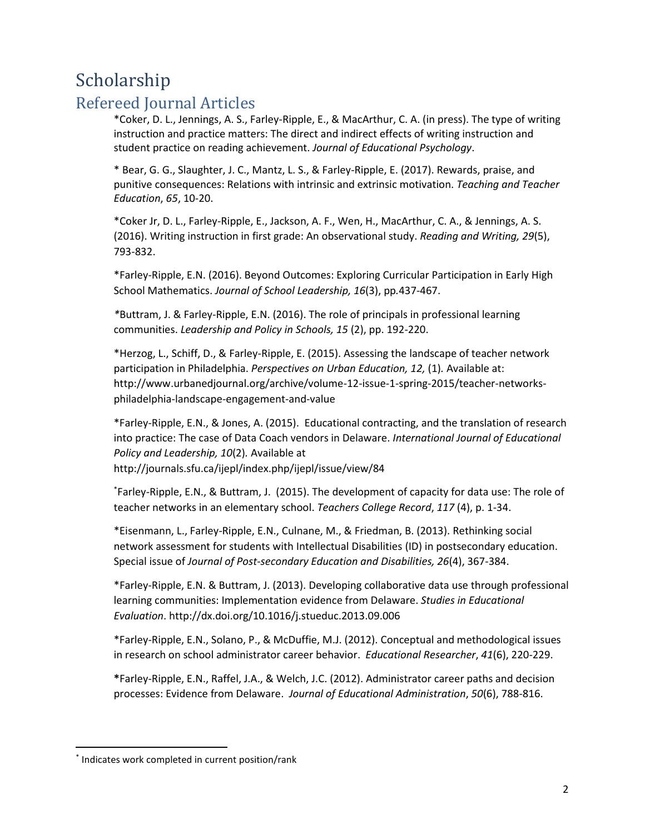## Scholarship

## Refereed Journal Articles

\*Coker, D. L., Jennings, A. S., Farley-Ripple, E., & MacArthur, C. A. (in press). The type of writing instruction and practice matters: The direct and indirect effects of writing instruction and student practice on reading achievement. *Journal of Educational Psychology*.

\* Bear, G. G., Slaughter, J. C., Mantz, L. S., & Farley-Ripple, E. (2017). Rewards, praise, and punitive consequences: Relations with intrinsic and extrinsic motivation. *Teaching and Teacher Education*, *65*, 10-20.

\*Coker Jr, D. L., Farley-Ripple, E., Jackson, A. F., Wen, H., MacArthur, C. A., & Jennings, A. S. (2016). Writing instruction in first grade: An observational study. *Reading and Writing, 29*(5), 793-832.

\*Farley-Ripple, E.N. (2016). Beyond Outcomes: Exploring Curricular Participation in Early High School Mathematics. *Journal of School Leadership, 16*(3), pp*.*437-467.

*\**Buttram, J. & Farley-Ripple, E.N. (2016). The role of principals in professional learning communities. *Leadership and Policy in Schools, 15* (2), pp. 192-220.

\*Herzog, L., Schiff, D., & Farley-Ripple, E. (2015). Assessing the landscape of teacher network participation in Philadelphia. *Perspectives on Urban Education, 12,* (1)*.* Available at: http://www.urbanedjournal.org/archive/volume-12-issue-1-spring-2015/teacher-networksphiladelphia-landscape-engagement-and-value

\*Farley-Ripple, E.N., & Jones, A. (2015). Educational contracting, and the translation of research into practice: The case of Data Coach vendors in Delaware. *International Journal of Educational Policy and Leadership, 10*(2)*.* Available at http://journals.sfu.ca/ijepl/index.php/ijepl/issue/view/84

\* Farley-Ripple, E.N., & Buttram, J. (2015). The development of capacity for data use: The role of teacher networks in an elementary school. *Teachers College Record*, *117* (4), p. 1-34.

\*Eisenmann, L., Farley-Ripple, E.N., Culnane, M., & Friedman, B. (2013). Rethinking social network assessment for students with Intellectual Disabilities (ID) in postsecondary education. Special issue of *Journal of Post-secondary Education and Disabilities, 26*(4), 367-384.

\*Farley-Ripple, E.N. & Buttram, J. (2013). Developing collaborative data use through professional learning communities: Implementation evidence from Delaware. *Studies in Educational Evaluation*. http://dx.doi.org/10.1016/j.stueduc.2013.09.006

\*Farley-Ripple, E.N., Solano, P., & McDuffie, M.J. (2012). Conceptual and methodological issues in research on school administrator career behavior. *Educational Researcher*, *41*(6), 220-229.

**\***Farley-Ripple, E.N., Raffel, J.A., & Welch, J.C. (2012). Administrator career paths and decision processes: Evidence from Delaware. *Journal of Educational Administration*, *50*(6), 788-816.

 $\overline{\phantom{a}}$ 

<sup>\*</sup> Indicates work completed in current position/rank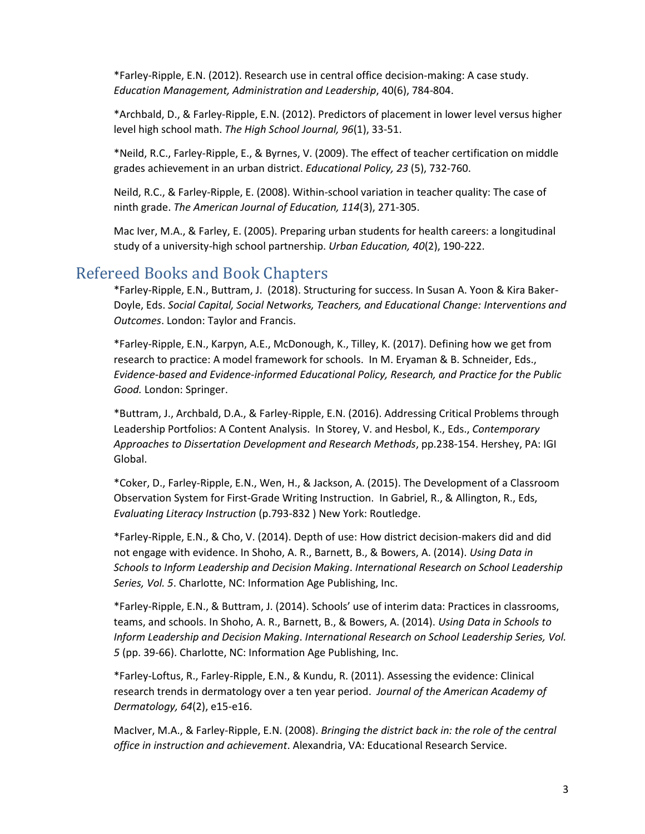\*Farley-Ripple, E.N. (2012). Research use in central office decision-making: A case study. *Education Management, Administration and Leadership*, 40(6), 784-804.

\*Archbald, D., & Farley-Ripple, E.N. (2012). Predictors of placement in lower level versus higher level high school math. *The High School Journal, 96*(1), 33-51.

\*Neild, R.C., Farley-Ripple, E., & Byrnes, V. (2009). The effect of teacher certification on middle grades achievement in an urban district. *Educational Policy, 23* (5), 732-760.

Neild, R.C., & Farley-Ripple, E. (2008). Within-school variation in teacher quality: The case of ninth grade. *The American Journal of Education, 114*(3), 271-305.

Mac Iver, M.A., & Farley, E. (2005). Preparing urban students for health careers: a longitudinal study of a university-high school partnership. *Urban Education, 40*(2), 190-222.

### Refereed Books and Book Chapters

\*Farley-Ripple, E.N., Buttram, J. (2018). Structuring for success. In Susan A. Yoon & Kira Baker-Doyle, Eds. *Social Capital, Social Networks, Teachers, and Educational Change: Interventions and Outcomes*. London: Taylor and Francis.

\*Farley-Ripple, E.N., Karpyn, A.E., McDonough, K., Tilley, K. (2017). Defining how we get from research to practice: A model framework for schools. In M. Eryaman & B. Schneider, Eds., *Evidence-based and Evidence-informed Educational Policy, Research, and Practice for the Public Good.* London: Springer.

\*Buttram, J., Archbald, D.A., & Farley-Ripple, E.N. (2016). Addressing Critical Problems through Leadership Portfolios: A Content Analysis. In Storey, V. and Hesbol, K., Eds., *Contemporary Approaches to Dissertation Development and Research Methods*, pp.238-154. Hershey, PA: IGI Global.

\*Coker, D., Farley-Ripple, E.N., Wen, H., & Jackson, A. (2015). The Development of a Classroom Observation System for First-Grade Writing Instruction. In Gabriel, R., & Allington, R., Eds, *Evaluating Literacy Instruction* (p.793-832 ) New York: Routledge.

\*Farley-Ripple, E.N., & Cho, V. (2014). Depth of use: How district decision-makers did and did not engage with evidence. In Shoho, A. R., Barnett, B., & Bowers, A. (2014). *Using Data in Schools to Inform Leadership and Decision Making*. *International Research on School Leadership Series, Vol. 5*. Charlotte, NC: Information Age Publishing, Inc.

\*Farley-Ripple, E.N., & Buttram, J. (2014). Schools' use of interim data: Practices in classrooms, teams, and schools. In Shoho, A. R., Barnett, B., & Bowers, A. (2014). *Using Data in Schools to Inform Leadership and Decision Making*. *International Research on School Leadership Series, Vol. 5* (pp. 39-66). Charlotte, NC: Information Age Publishing, Inc.

\*Farley-Loftus, R., Farley-Ripple, E.N., & Kundu, R. (2011). Assessing the evidence: Clinical research trends in dermatology over a ten year period. *Journal of the American Academy of Dermatology, 64*(2), e15-e16.

MacIver, M.A., & Farley-Ripple, E.N. (2008). *Bringing the district back in: the role of the central office in instruction and achievement*. Alexandria, VA: Educational Research Service.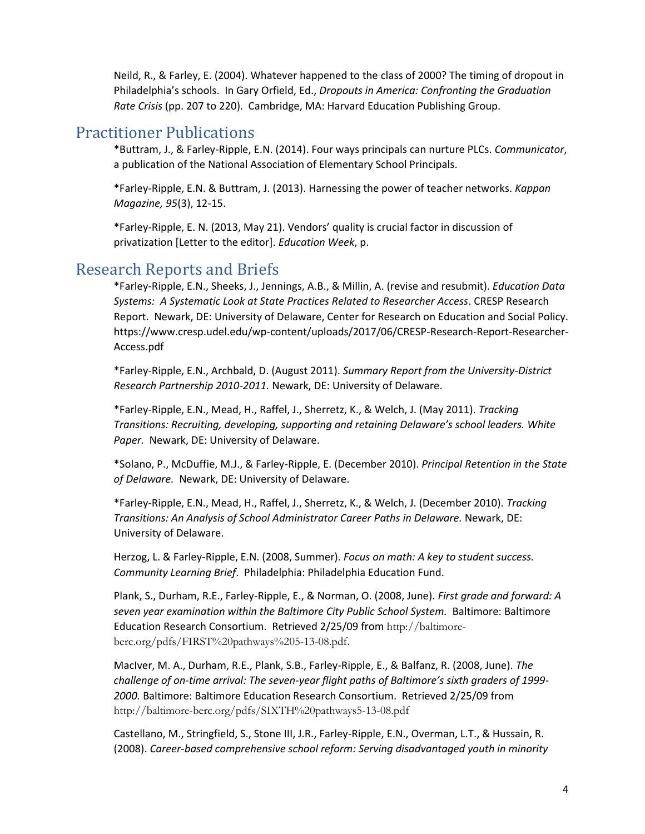Neild, R., & Farley, E. (2004). Whatever happened to the class of 2000? The timing of dropout in Philadelphia's schools. In Gary Orfield, Ed., *Dropouts in America: Confronting the Graduation Rate Crisis* (pp. 207 to 220). Cambridge, MA: Harvard Education Publishing Group.

## Practitioner Publications

\*Buttram, J., & Farley-Ripple, E.N. (2014). Four ways principals can nurture PLCs. *Communicator*, a publication of the National Association of Elementary School Principals.

\*Farley-Ripple, E.N. & Buttram, J. (2013). Harnessing the power of teacher networks. *Kappan Magazine, 95*(3), 12-15.

\*Farley-Ripple, E. N. (2013, May 21). Vendors' quality is crucial factor in discussion of privatization [Letter to the editor]. *Education Week*, p.

### Research Reports and Briefs

\*Farley-Ripple, E.N., Sheeks, J., Jennings, A.B., & Millin, A. (revise and resubmit). *Education Data Systems: A Systematic Look at State Practices Related to Researcher Access*. CRESP Research Report. Newark, DE: University of Delaware, Center for Research on Education and Social Policy. https://www.cresp.udel.edu/wp-content/uploads/2017/06/CRESP-Research-Report-Researcher-Access.pdf

\*Farley-Ripple, E.N., Archbald, D. (August 2011). *Summary Report from the University-District Research Partnership 2010-2011.* Newark, DE: University of Delaware.

\*Farley-Ripple, E.N., Mead, H., Raffel, J., Sherretz, K., & Welch, J. (May 2011). *Tracking Transitions: Recruiting, developing, supporting and retaining Delaware's school leaders. White Paper.* Newark, DE: University of Delaware.

\*Solano, P., McDuffie, M.J., & Farley-Ripple, E. (December 2010). *Principal Retention in the State of Delaware.* Newark, DE: University of Delaware.

\*Farley-Ripple, E.N., Mead, H., Raffel, J., Sherretz, K., & Welch, J. (December 2010). *Tracking Transitions: An Analysis of School Administrator Career Paths in Delaware.* Newark, DE: University of Delaware.

Herzog, L. & Farley-Ripple, E.N. (2008, Summer). *Focus on math: A key to student success. Community Learning Brief*. Philadelphia: Philadelphia Education Fund.

Plank, S., Durham, R.E., Farley-Ripple, E., & Norman, O. (2008, June). *First grade and forward: A seven year examination within the Baltimore City Public School System.* Baltimore: Baltimore Education Research Consortium. Retrieved 2/25/09 from http://baltimoreberc.org/pdfs/FIRST%20pathways%205-13-08.pdf.

MacIver, M. A., Durham, R.E., Plank, S.B., Farley-Ripple, E., & Balfanz, R. (2008, June). *The challenge of on-time arrival: The seven-year flight paths of Baltimore's sixth graders of 1999- 2000.* Baltimore: Baltimore Education Research Consortium. Retrieved 2/25/09 from http://baltimore-berc.org/pdfs/SIXTH%20pathways5-13-08.pdf

Castellano, M., Stringfield, S., Stone III, J.R., Farley-Ripple, E.N., Overman, L.T., & Hussain, R. (2008). *Career-based comprehensive school reform: Serving disadvantaged youth in minority*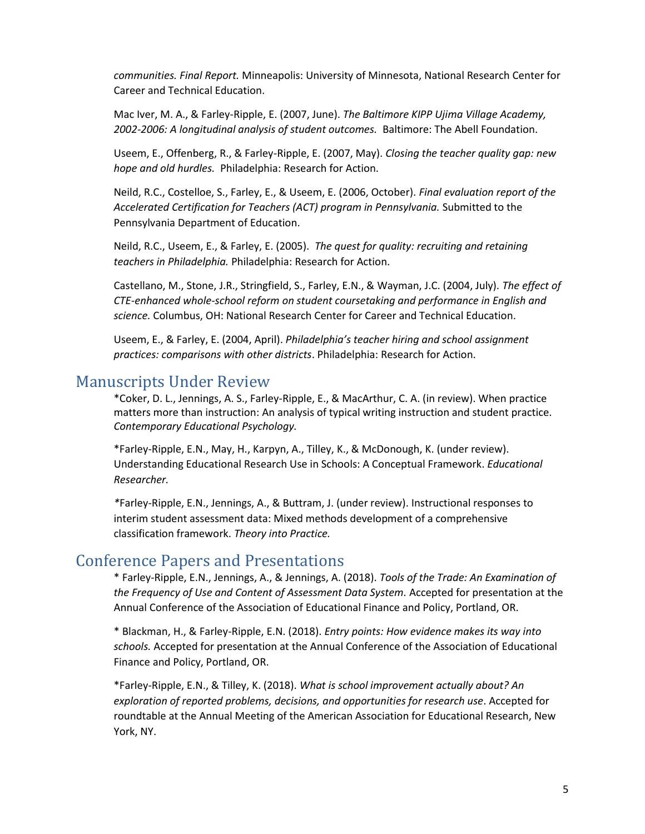*communities. Final Report.* Minneapolis: University of Minnesota, National Research Center for Career and Technical Education.

Mac Iver, M. A., & Farley-Ripple, E. (2007, June). *The Baltimore KIPP Ujima Village Academy, 2002-2006: A longitudinal analysis of student outcomes.* Baltimore: The Abell Foundation.

Useem, E., Offenberg, R., & Farley-Ripple, E. (2007, May). *Closing the teacher quality gap: new hope and old hurdles.* Philadelphia: Research for Action.

Neild, R.C., Costelloe, S., Farley, E., & Useem, E. (2006, October). *Final evaluation report of the Accelerated Certification for Teachers (ACT) program in Pennsylvania.* Submitted to the Pennsylvania Department of Education.

Neild, R.C., Useem, E., & Farley, E. (2005). *The quest for quality: recruiting and retaining teachers in Philadelphia.* Philadelphia: Research for Action.

Castellano, M., Stone, J.R., Stringfield, S., Farley, E.N., & Wayman, J.C. (2004, July). *The effect of CTE-enhanced whole-school reform on student coursetaking and performance in English and science.* Columbus, OH: National Research Center for Career and Technical Education.

Useem, E., & Farley, E. (2004, April). *Philadelphia's teacher hiring and school assignment practices: comparisons with other districts*. Philadelphia: Research for Action.

### Manuscripts Under Review

\*Coker, D. L., Jennings, A. S., Farley-Ripple, E., & MacArthur, C. A. (in review). When practice matters more than instruction: An analysis of typical writing instruction and student practice. *Contemporary Educational Psychology.*

\*Farley-Ripple, E.N., May, H., Karpyn, A., Tilley, K., & McDonough, K. (under review). Understanding Educational Research Use in Schools: A Conceptual Framework. *Educational Researcher.*

*\**Farley-Ripple, E.N., Jennings, A., & Buttram, J. (under review). Instructional responses to interim student assessment data: Mixed methods development of a comprehensive classification framework. *Theory into Practice.*

### Conference Papers and Presentations

\* Farley-Ripple, E.N., Jennings, A., & Jennings, A. (2018). *Tools of the Trade: An Examination of the Frequency of Use and Content of Assessment Data System.* Accepted for presentation at the Annual Conference of the Association of Educational Finance and Policy, Portland, OR.

\* Blackman, H., & Farley-Ripple, E.N. (2018). *Entry points: How evidence makes its way into schools.* Accepted for presentation at the Annual Conference of the Association of Educational Finance and Policy, Portland, OR.

\*Farley-Ripple, E.N., & Tilley, K. (2018). *What is school improvement actually about? An exploration of reported problems, decisions, and opportunities for research use*. Accepted for roundtable at the Annual Meeting of the American Association for Educational Research, New York, NY.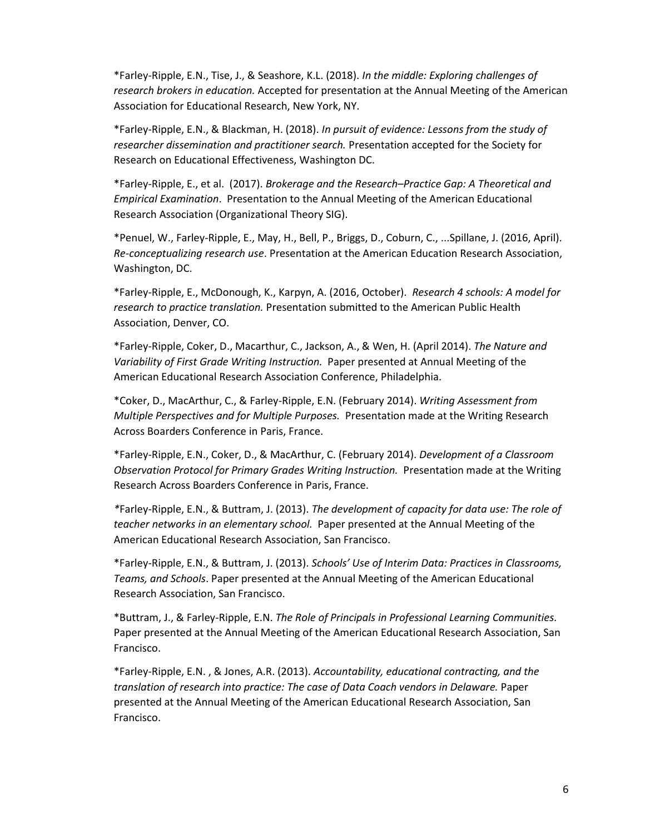\*Farley-Ripple, E.N., Tise, J., & Seashore, K.L. (2018). *In the middle: Exploring challenges of research brokers in education.* Accepted for presentation at the Annual Meeting of the American Association for Educational Research, New York, NY.

\*Farley-Ripple, E.N., & Blackman, H. (2018). *In pursuit of evidence: Lessons from the study of researcher dissemination and practitioner search.* Presentation accepted for the Society for Research on Educational Effectiveness, Washington DC.

\*Farley-Ripple, E., et al. (2017). *Brokerage and the Research–Practice Gap: A Theoretical and Empirical Examination*. Presentation to the Annual Meeting of the American Educational Research Association (Organizational Theory SIG).

\*Penuel, W., Farley-Ripple, E., May, H., Bell, P., Briggs, D., Coburn, C., ...Spillane, J. (2016, April). *Re-conceptualizing research use*. Presentation at the American Education Research Association, Washington, DC.

\*Farley-Ripple, E., McDonough, K., Karpyn, A. (2016, October). *Research 4 schools: A model for research to practice translation.* Presentation submitted to the American Public Health Association, Denver, CO.

\*Farley-Ripple, Coker, D., Macarthur, C., Jackson, A., & Wen, H. (April 2014). *The Nature and Variability of First Grade Writing Instruction.* Paper presented at Annual Meeting of the American Educational Research Association Conference, Philadelphia.

\*Coker, D., MacArthur, C., & Farley-Ripple, E.N. (February 2014). *Writing Assessment from Multiple Perspectives and for Multiple Purposes.* Presentation made at the Writing Research Across Boarders Conference in Paris, France.

\*Farley-Ripple, E.N., Coker, D., & MacArthur, C. (February 2014). *Development of a Classroom Observation Protocol for Primary Grades Writing Instruction.* Presentation made at the Writing Research Across Boarders Conference in Paris, France.

*\**Farley-Ripple, E.N., & Buttram, J. (2013). *The development of capacity for data use: The role of teacher networks in an elementary school.* Paper presented at the Annual Meeting of the American Educational Research Association, San Francisco.

\*Farley-Ripple, E.N., & Buttram, J. (2013). *Schools' Use of Interim Data: Practices in Classrooms, Teams, and Schools*. Paper presented at the Annual Meeting of the American Educational Research Association, San Francisco.

\*Buttram, J., & Farley-Ripple, E.N. *The Role of Principals in Professional Learning Communities.*  Paper presented at the Annual Meeting of the American Educational Research Association, San Francisco.

\*Farley-Ripple, E.N. , & Jones, A.R. (2013). *Accountability, educational contracting, and the translation of research into practice: The case of Data Coach vendors in Delaware.* Paper presented at the Annual Meeting of the American Educational Research Association, San Francisco.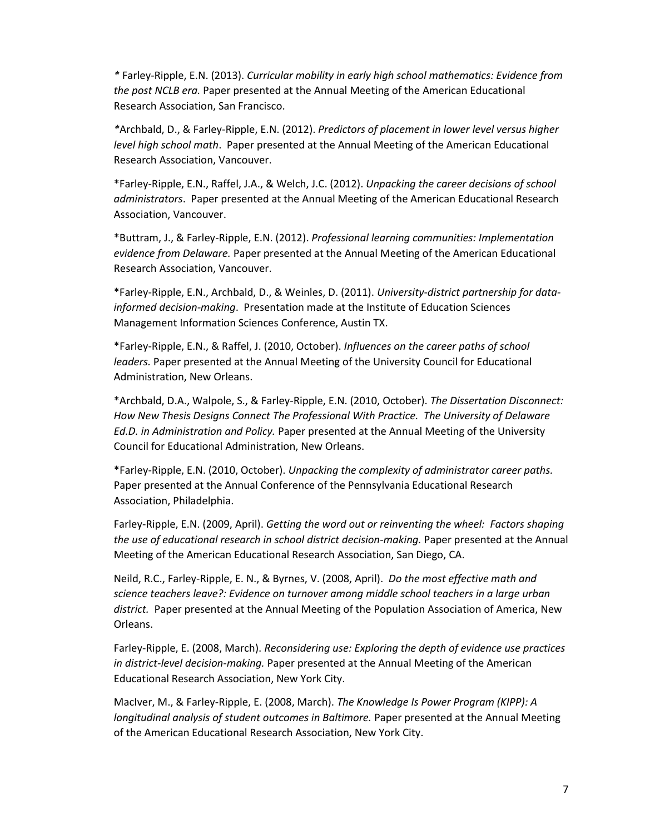*\** Farley-Ripple, E.N. (2013). *Curricular mobility in early high school mathematics: Evidence from the post NCLB era.* Paper presented at the Annual Meeting of the American Educational Research Association, San Francisco.

*\**Archbald, D., & Farley-Ripple, E.N. (2012). *Predictors of placement in lower level versus higher level high school math*. Paper presented at the Annual Meeting of the American Educational Research Association, Vancouver.

\*Farley-Ripple, E.N., Raffel, J.A., & Welch, J.C. (2012). *Unpacking the career decisions of school administrators*. Paper presented at the Annual Meeting of the American Educational Research Association, Vancouver.

\*Buttram, J., & Farley-Ripple, E.N. (2012). *Professional learning communities: Implementation evidence from Delaware.* Paper presented at the Annual Meeting of the American Educational Research Association, Vancouver.

\*Farley-Ripple, E.N., Archbald, D., & Weinles, D. (2011). *University-district partnership for datainformed decision-making*. Presentation made at the Institute of Education Sciences Management Information Sciences Conference, Austin TX.

\*Farley-Ripple, E.N., & Raffel, J. (2010, October). *Influences on the career paths of school leaders.* Paper presented at the Annual Meeting of the University Council for Educational Administration, New Orleans.

\*Archbald, D.A., Walpole, S., & Farley-Ripple, E.N. (2010, October). *The Dissertation Disconnect: How New Thesis Designs Connect The Professional With Practice. The University of Delaware Ed.D. in Administration and Policy.* Paper presented at the Annual Meeting of the University Council for Educational Administration, New Orleans.

\*Farley-Ripple, E.N. (2010, October). *Unpacking the complexity of administrator career paths.*  Paper presented at the Annual Conference of the Pennsylvania Educational Research Association, Philadelphia.

Farley-Ripple, E.N. (2009, April). *Getting the word out or reinventing the wheel: Factors shaping the use of educational research in school district decision-making.* Paper presented at the Annual Meeting of the American Educational Research Association, San Diego, CA.

Neild, R.C., Farley-Ripple, E. N., & Byrnes, V. (2008, April). *Do the most effective math and science teachers leave?: Evidence on turnover among middle school teachers in a large urban district.* Paper presented at the Annual Meeting of the Population Association of America, New Orleans.

Farley-Ripple, E. (2008, March). *Reconsidering use: Exploring the depth of evidence use practices in district-level decision-making.* Paper presented at the Annual Meeting of the American Educational Research Association, New York City.

MacIver, M., & Farley-Ripple, E. (2008, March). *The Knowledge Is Power Program (KIPP): A longitudinal analysis of student outcomes in Baltimore.* Paper presented at the Annual Meeting of the American Educational Research Association, New York City.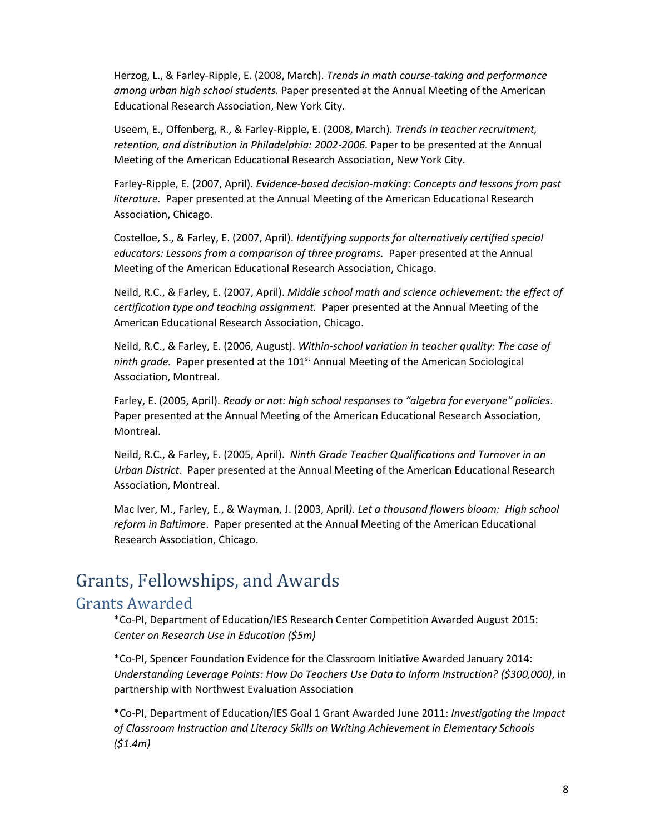Herzog, L., & Farley-Ripple, E. (2008, March). *Trends in math course-taking and performance among urban high school students.* Paper presented at the Annual Meeting of the American Educational Research Association, New York City.

Useem, E., Offenberg, R., & Farley-Ripple, E. (2008, March). *Trends in teacher recruitment, retention, and distribution in Philadelphia: 2002-2006.* Paper to be presented at the Annual Meeting of the American Educational Research Association, New York City.

Farley-Ripple, E. (2007, April). *Evidence-based decision-making: Concepts and lessons from past literature.* Paper presented at the Annual Meeting of the American Educational Research Association, Chicago.

Costelloe, S., & Farley, E. (2007, April). *Identifying supports for alternatively certified special educators: Lessons from a comparison of three programs.* Paper presented at the Annual Meeting of the American Educational Research Association, Chicago.

Neild, R.C., & Farley, E. (2007, April). *Middle school math and science achievement: the effect of certification type and teaching assignment.* Paper presented at the Annual Meeting of the American Educational Research Association, Chicago.

Neild, R.C., & Farley, E. (2006, August). *Within-school variation in teacher quality: The case of ninth grade.* Paper presented at the 101st Annual Meeting of the American Sociological Association, Montreal.

Farley, E. (2005, April). *Ready or not: high school responses to "algebra for everyone" policies*. Paper presented at the Annual Meeting of the American Educational Research Association, Montreal.

Neild, R.C., & Farley, E. (2005, April). *Ninth Grade Teacher Qualifications and Turnover in an Urban District*. Paper presented at the Annual Meeting of the American Educational Research Association, Montreal.

Mac Iver, M., Farley, E., & Wayman, J. (2003, April*). Let a thousand flowers bloom: High school reform in Baltimore*. Paper presented at the Annual Meeting of the American Educational Research Association, Chicago.

## Grants, Fellowships, and Awards

### Grants Awarded

\*Co-PI, Department of Education/IES Research Center Competition Awarded August 2015: *Center on Research Use in Education (\$5m)*

\*Co-PI, Spencer Foundation Evidence for the Classroom Initiative Awarded January 2014: *Understanding Leverage Points: How Do Teachers Use Data to Inform Instruction? (\$300,000)*, in partnership with Northwest Evaluation Association

\*Co-PI, Department of Education/IES Goal 1 Grant Awarded June 2011: *Investigating the Impact of Classroom Instruction and Literacy Skills on Writing Achievement in Elementary Schools (\$1.4m)*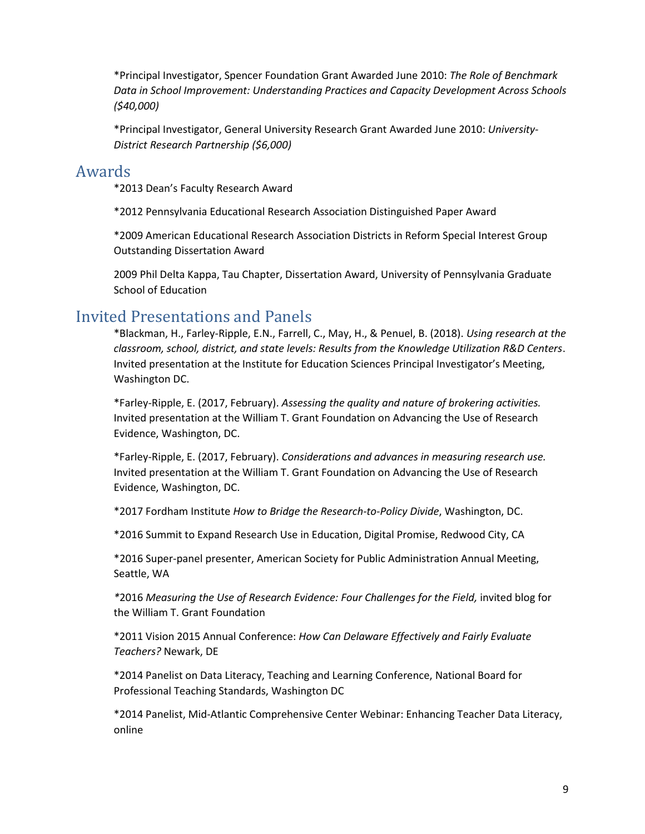\*Principal Investigator, Spencer Foundation Grant Awarded June 2010: *The Role of Benchmark Data in School Improvement: Understanding Practices and Capacity Development Across Schools (\$40,000)*

\*Principal Investigator, General University Research Grant Awarded June 2010: *University-District Research Partnership (\$6,000)*

### Awards

\*2013 Dean's Faculty Research Award

\*2012 Pennsylvania Educational Research Association Distinguished Paper Award

\*2009 American Educational Research Association Districts in Reform Special Interest Group Outstanding Dissertation Award

2009 Phil Delta Kappa, Tau Chapter, Dissertation Award, University of Pennsylvania Graduate School of Education

## Invited Presentations and Panels

\*Blackman, H., Farley-Ripple, E.N., Farrell, C., May, H., & Penuel, B. (2018). *Using research at the classroom, school, district, and state levels: Results from the Knowledge Utilization R&D Centers*. Invited presentation at the Institute for Education Sciences Principal Investigator's Meeting, Washington DC.

\*Farley-Ripple, E. (2017, February). *Assessing the quality and nature of brokering activities.* Invited presentation at the William T. Grant Foundation on Advancing the Use of Research Evidence, Washington, DC.

\*Farley-Ripple, E. (2017, February). *Considerations and advances in measuring research use.* Invited presentation at the William T. Grant Foundation on Advancing the Use of Research Evidence, Washington, DC.

\*2017 Fordham Institute *How to Bridge the Research-to-Policy Divide*, Washington, DC.

\*2016 Summit to Expand Research Use in Education, Digital Promise, Redwood City, CA

\*2016 Super-panel presenter, American Society for Public Administration Annual Meeting, Seattle, WA

*\**2016 *Measuring the Use of Research Evidence: Four Challenges for the Field,* invited blog for the William T. Grant Foundation

\*2011 Vision 2015 Annual Conference: *How Can Delaware Effectively and Fairly Evaluate Teachers?* Newark, DE

\*2014 Panelist on Data Literacy, Teaching and Learning Conference, National Board for Professional Teaching Standards, Washington DC

\*2014 Panelist, Mid-Atlantic Comprehensive Center Webinar: Enhancing Teacher Data Literacy, online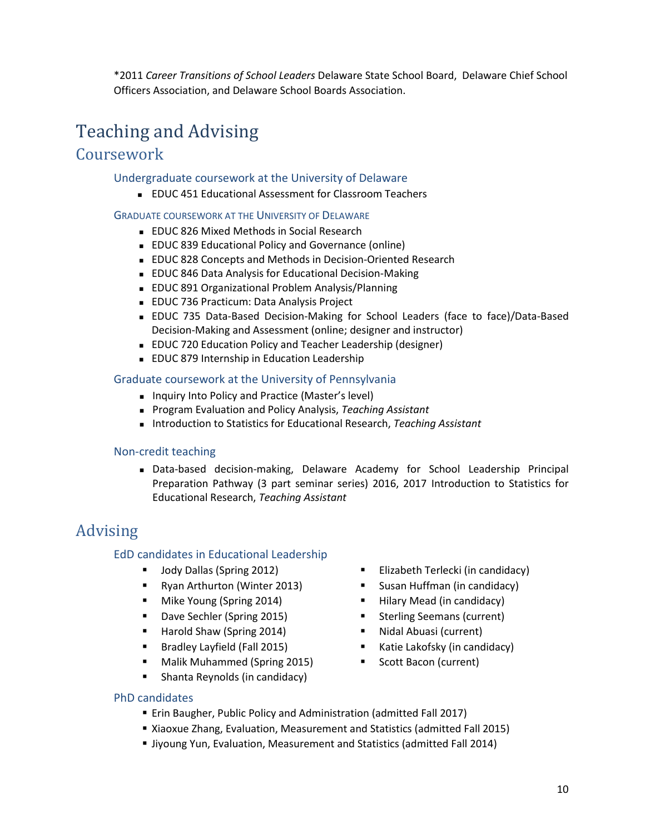\*2011 *Career Transitions of School Leaders* Delaware State School Board, Delaware Chief School Officers Association, and Delaware School Boards Association.

## Teaching and Advising

## Coursework

#### Undergraduate coursework at the University of Delaware

EDUC 451 Educational Assessment for Classroom Teachers

#### GRADUATE COURSEWORK AT THE UNIVERSITY OF DELAWARE

- **EDUC 826 Mixed Methods in Social Research**
- EDUC 839 Educational Policy and Governance (online)
- EDUC 828 Concepts and Methods in Decision-Oriented Research
- EDUC 846 Data Analysis for Educational Decision-Making
- EDUC 891 Organizational Problem Analysis/Planning
- EDUC 736 Practicum: Data Analysis Project
- EDUC 735 Data-Based Decision-Making for School Leaders (face to face)/Data-Based Decision-Making and Assessment (online; designer and instructor)
- EDUC 720 Education Policy and Teacher Leadership (designer)
- **EDUC 879 Internship in Education Leadership**

#### Graduate coursework at the University of Pennsylvania

- **Inquiry Into Policy and Practice (Master's level)**
- Program Evaluation and Policy Analysis, *Teaching Assistant*
- Introduction to Statistics for Educational Research, *Teaching Assistant*

#### Non-credit teaching

 Data-based decision-making, Delaware Academy for School Leadership Principal Preparation Pathway (3 part seminar series) 2016, 2017 Introduction to Statistics for Educational Research, *Teaching Assistant*

## Advising

#### EdD candidates in Educational Leadership

- Jody Dallas (Spring 2012)
- Ryan Arthurton (Winter 2013)
- Mike Young (Spring 2014)
- Dave Sechler (Spring 2015)
- Harold Shaw (Spring 2014)
- Bradley Layfield (Fall 2015)
- Malik Muhammed (Spring 2015)
- Shanta Reynolds (in candidacy)
- **Elizabeth Terlecki (in candidacy)**
- **Susan Huffman (in candidacy)**
- Hilary Mead (in candidacy)
- **Sterling Seemans (current)**
- Nidal Abuasi (current)
- Katie Lakofsky (in candidacy)
- Scott Bacon (current)

#### PhD candidates

- **Erin Baugher, Public Policy and Administration (admitted Fall 2017)**
- Xiaoxue Zhang, Evaluation, Measurement and Statistics (admitted Fall 2015)
- Jiyoung Yun, Evaluation, Measurement and Statistics (admitted Fall 2014)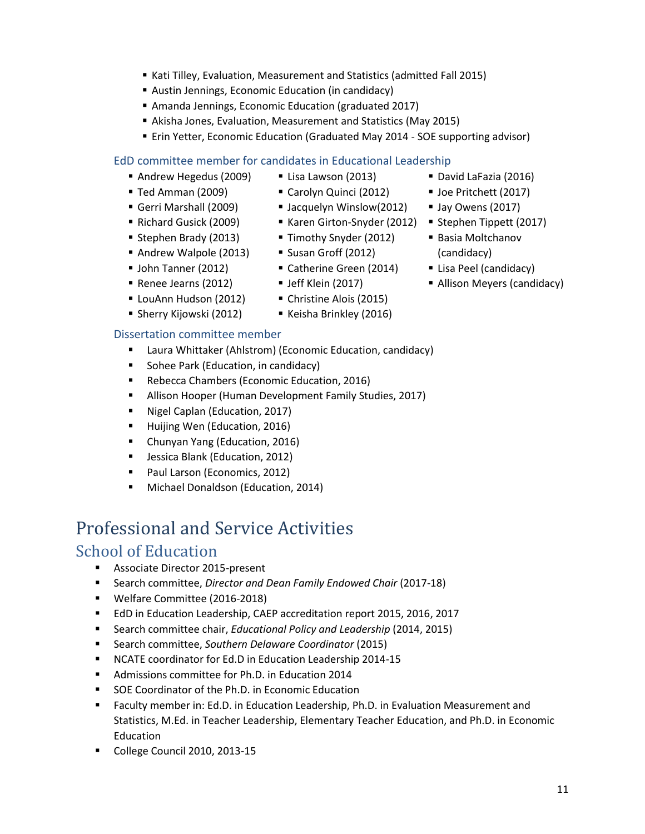- Kati Tilley, Evaluation, Measurement and Statistics (admitted Fall 2015)
- Austin Jennings, Economic Education (in candidacy)
- Amanda Jennings, Economic Education (graduated 2017)
- Akisha Jones, Evaluation, Measurement and Statistics (May 2015)
- Erin Yetter, Economic Education (Graduated May 2014 SOE supporting advisor)

Lisa Lawson (2013) Carolyn Quinci (2012) **Jacquelyn Winslow(2012)** ■ Karen Girton-Snyder (2012)

#### EdD committee member for candidates in Educational Leadership

- Andrew Hegedus (2009)
- Ted Amman (2009)
- Gerri Marshall (2009)
- Richard Gusick (2009)
- Stephen Brady (2013)
- Andrew Walpole (2013)
- **John Tanner (2012)**
- Renee Jearns (2012)
- **LouAnn Hudson (2012)**
- **Sherry Kijowski (2012)**
- Dissertation committee member
	- Laura Whittaker (Ahlstrom) (Economic Education, candidacy)
	- **Sohee Park (Education, in candidacy)**
	- **Rebecca Chambers (Economic Education, 2016)**
	- **Allison Hooper (Human Development Family Studies, 2017)**
	- **Nigel Caplan (Education, 2017)**
	- **Huijing Wen (Education, 2016)**
	- **Chunyan Yang (Education, 2016)**
	- **Jessica Blank (Education, 2012)**
	- Paul Larson (Economics, 2012)
	- **Michael Donaldson (Education, 2014)**

## Professional and Service Activities

## School of Education

- **Associate Director 2015-present**
- Search committee, *Director and Dean Family Endowed Chair* (2017-18)
- **Welfare Committee (2016-2018)**
- **EdD** in Education Leadership, CAEP accreditation report 2015, 2016, 2017
- Search committee chair, *Educational Policy and Leadership* (2014, 2015)
- Search committee, *Southern Delaware Coordinator* (2015)
- NCATE coordinator for Ed.D in Education Leadership 2014-15
- Admissions committee for Ph.D. in Education 2014
- **SOE Coordinator of the Ph.D. in Economic Education**
- Faculty member in: Ed.D. in Education Leadership, Ph.D. in Evaluation Measurement and Statistics, M.Ed. in Teacher Leadership, Elementary Teacher Education, and Ph.D. in Economic Education
- College Council 2010, 2013-15
- David LaFazia (2016)
- **Joe Pritchett (2017)**
- **Jay Owens (2017)**
- Stephen Tippett (2017)
- Basia Moltchanov (candidacy)
- **Lisa Peel (candidacy)**
- Allison Meyers (candidacy)
- Susan Groff (2012)

Timothy Snyder (2012)

- **Jeff Klein (2017)**
- Christine Alois (2015)
- Keisha Brinkley (2016)
- Catherine Green (2014)
	-
	-
- 
- 
- - -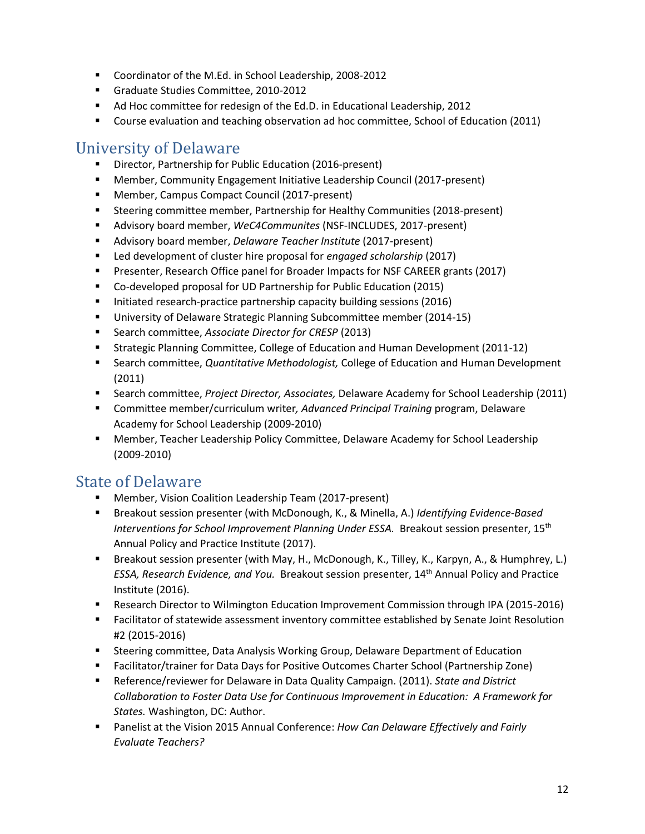- Coordinator of the M.Ed. in School Leadership, 2008-2012
- Graduate Studies Committee, 2010-2012
- Ad Hoc committee for redesign of the Ed.D. in Educational Leadership, 2012
- **Course evaluation and teaching observation ad hoc committee, School of Education (2011)**

## University of Delaware

- Director, Partnership for Public Education (2016-present)
- Member, Community Engagement Initiative Leadership Council (2017-present)
- Member, Campus Compact Council (2017-present)
- Steering committee member, Partnership for Healthy Communities (2018-present)
- Advisory board member, *WeC4Communites* (NSF-INCLUDES, 2017-present)
- Advisory board member, *Delaware Teacher Institute* (2017-present)
- Led development of cluster hire proposal for *engaged scholarship* (2017)
- Presenter, Research Office panel for Broader Impacts for NSF CAREER grants (2017)
- Co-developed proposal for UD Partnership for Public Education (2015)
- Initiated research-practice partnership capacity building sessions (2016)
- University of Delaware Strategic Planning Subcommittee member (2014-15)
- Search committee, *Associate Director for CRESP* (2013)
- **Strategic Planning Committee, College of Education and Human Development (2011-12)**
- Search committee, *Quantitative Methodologist,* College of Education and Human Development (2011)
- Search committee, *Project Director, Associates,* Delaware Academy for School Leadership (2011)
- Committee member/curriculum writer*, Advanced Principal Training* program, Delaware Academy for School Leadership (2009-2010)
- Member, Teacher Leadership Policy Committee, Delaware Academy for School Leadership (2009-2010)

## State of Delaware

- Member, Vision Coalition Leadership Team (2017-present)
- Breakout session presenter (with McDonough, K., & Minella, A.) *Identifying Evidence-Based Interventions for School Improvement Planning Under ESSA.* Breakout session presenter, 15<sup>th</sup> Annual Policy and Practice Institute (2017).
- Breakout session presenter (with May, H., McDonough, K., Tilley, K., Karpyn, A., & Humphrey, L.) *ESSA, Research Evidence, and You.* Breakout session presenter, 14th Annual Policy and Practice Institute (2016).
- Research Director to Wilmington Education Improvement Commission through IPA (2015-2016)
- Facilitator of statewide assessment inventory committee established by Senate Joint Resolution #2 (2015-2016)
- Steering committee, Data Analysis Working Group, Delaware Department of Education
- Facilitator/trainer for Data Days for Positive Outcomes Charter School (Partnership Zone)
- Reference/reviewer for Delaware in Data Quality Campaign. (2011). *State and District Collaboration to Foster Data Use for Continuous Improvement in Education: A Framework for States.* Washington, DC: Author.
- Panelist at the Vision 2015 Annual Conference: *How Can Delaware Effectively and Fairly Evaluate Teachers?*